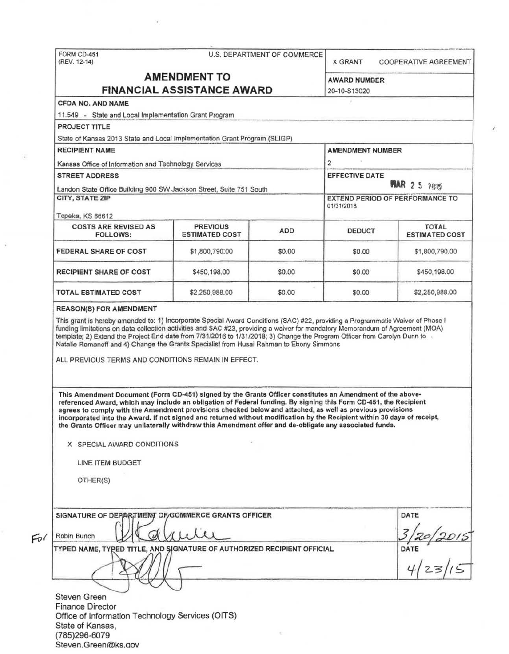| FORM CD-451<br>(REV. 12-14)                                                                                                                                                                                                                                                                                                                                                                                                                                            |                                          | U.S. DEPARTMENT OF COMMERCE                                    | X GRANT                             | COOPERATIVE AGREEMENT                 |
|------------------------------------------------------------------------------------------------------------------------------------------------------------------------------------------------------------------------------------------------------------------------------------------------------------------------------------------------------------------------------------------------------------------------------------------------------------------------|------------------------------------------|----------------------------------------------------------------|-------------------------------------|---------------------------------------|
| <b>AMENDMENT TO</b><br><b>FINANCIAL ASSISTANCE AWARD</b>                                                                                                                                                                                                                                                                                                                                                                                                               |                                          |                                                                | <b>AWARD NUMBER</b><br>20-10-S13020 |                                       |
| CFDA NO. AND NAME                                                                                                                                                                                                                                                                                                                                                                                                                                                      |                                          |                                                                |                                     |                                       |
| 11.549 - State and Local Implementation Grant Program                                                                                                                                                                                                                                                                                                                                                                                                                  |                                          |                                                                |                                     |                                       |
| PROJECT TITLE                                                                                                                                                                                                                                                                                                                                                                                                                                                          |                                          |                                                                |                                     |                                       |
| State of Kansas 2013 State and Local Implementation Grant Program (SLIGP)                                                                                                                                                                                                                                                                                                                                                                                              |                                          |                                                                |                                     |                                       |
| <b>RECIPIENT NAME</b>                                                                                                                                                                                                                                                                                                                                                                                                                                                  | <b>AMENDMENT NUMBER</b>                  |                                                                |                                     |                                       |
| Kansas Office of Information and Technology Services                                                                                                                                                                                                                                                                                                                                                                                                                   |                                          | $\overline{c}$<br><b>EFFECTIVE DATE</b><br><b>MAR 2 5 7615</b> |                                     |                                       |
| <b>STREET ADDRESS</b>                                                                                                                                                                                                                                                                                                                                                                                                                                                  |                                          |                                                                |                                     |                                       |
| Landon State Office Building 900 SW Jackson Street, Suite 751 South                                                                                                                                                                                                                                                                                                                                                                                                    |                                          |                                                                |                                     |                                       |
| CITY, STATE ZIP                                                                                                                                                                                                                                                                                                                                                                                                                                                        |                                          |                                                                | 01/31/2018                          | EXTEND PERIOD OF PERFORMANCE TO       |
| Topeka, KS 66612                                                                                                                                                                                                                                                                                                                                                                                                                                                       |                                          |                                                                |                                     |                                       |
| <b>COSTS ARE REVISED AS</b><br><b>FOLLOWS:</b>                                                                                                                                                                                                                                                                                                                                                                                                                         | <b>PREVIOUS</b><br><b>ESTIMATED COST</b> | ADD                                                            | <b>DEDUCT</b>                       | <b>TOTAL</b><br><b>ESTIMATED COST</b> |
| FEDERAL SHARE OF COST                                                                                                                                                                                                                                                                                                                                                                                                                                                  | \$1,800,790:00                           | \$0.00                                                         | \$0.00                              | \$1,800,790.00                        |
| <b>RECIPIENT SHARE OF COST</b>                                                                                                                                                                                                                                                                                                                                                                                                                                         | \$450,198.00                             | \$0.00                                                         | \$0.00                              | \$450,198.00                          |
| <b>TOTAL ESTIMATED COST</b>                                                                                                                                                                                                                                                                                                                                                                                                                                            | \$2,250,988.00                           | \$0.00                                                         | \$0.00                              | \$2,250,988.00                        |
| This Amendment Document (Form CD-451) signed by the Grants Officer constitutes an Amendment of the above-<br>referenced Award, which may include an obligation of Federal funding. By signing this Form CD-451, the Recipient<br>agrees to comply with the Amendment provisions checked below and attached, as well as previous provisions<br>incorporated into the Award. If not signed and returned without modification by the Recipient within 30 days of receipt, |                                          |                                                                |                                     |                                       |
| the Grants Officer may unilaterally withdraw this Amendment offer and de-obligate any associated funds.<br>X SPECIAL AWARD CONDITIONS                                                                                                                                                                                                                                                                                                                                  |                                          |                                                                |                                     |                                       |
|                                                                                                                                                                                                                                                                                                                                                                                                                                                                        |                                          |                                                                |                                     |                                       |
| LINE ITEM BUDGET                                                                                                                                                                                                                                                                                                                                                                                                                                                       |                                          |                                                                |                                     |                                       |
| OTHER(S)                                                                                                                                                                                                                                                                                                                                                                                                                                                               |                                          |                                                                |                                     |                                       |
|                                                                                                                                                                                                                                                                                                                                                                                                                                                                        |                                          |                                                                |                                     |                                       |
| SIGNATURE OF DEPARTMENT OF GOMMERCE GRANTS OFFICER                                                                                                                                                                                                                                                                                                                                                                                                                     |                                          |                                                                |                                     | DATE                                  |
| Robin Bunch                                                                                                                                                                                                                                                                                                                                                                                                                                                            |                                          |                                                                |                                     |                                       |
| TYPED NAME, TYPED TITLE, AND SIGNATURE OF AUTHORIZED RECIPIENT OFFICIAL                                                                                                                                                                                                                                                                                                                                                                                                |                                          |                                                                |                                     |                                       |
|                                                                                                                                                                                                                                                                                                                                                                                                                                                                        |                                          |                                                                |                                     |                                       |
|                                                                                                                                                                                                                                                                                                                                                                                                                                                                        |                                          |                                                                |                                     | DATE $4/23/10$                        |
| <b>Steven Green</b>                                                                                                                                                                                                                                                                                                                                                                                                                                                    |                                          |                                                                |                                     |                                       |
| <b>Finance Director</b>                                                                                                                                                                                                                                                                                                                                                                                                                                                |                                          |                                                                |                                     |                                       |
| Office of Information Technology Services (OITS)                                                                                                                                                                                                                                                                                                                                                                                                                       |                                          |                                                                |                                     |                                       |
| State of Kansas,<br>(785)296-6079                                                                                                                                                                                                                                                                                                                                                                                                                                      |                                          |                                                                |                                     |                                       |

ž.

 $\langle \hat{e} \rangle$ 

 $\frac{1}{\alpha}$ 

 $\bar{v}$